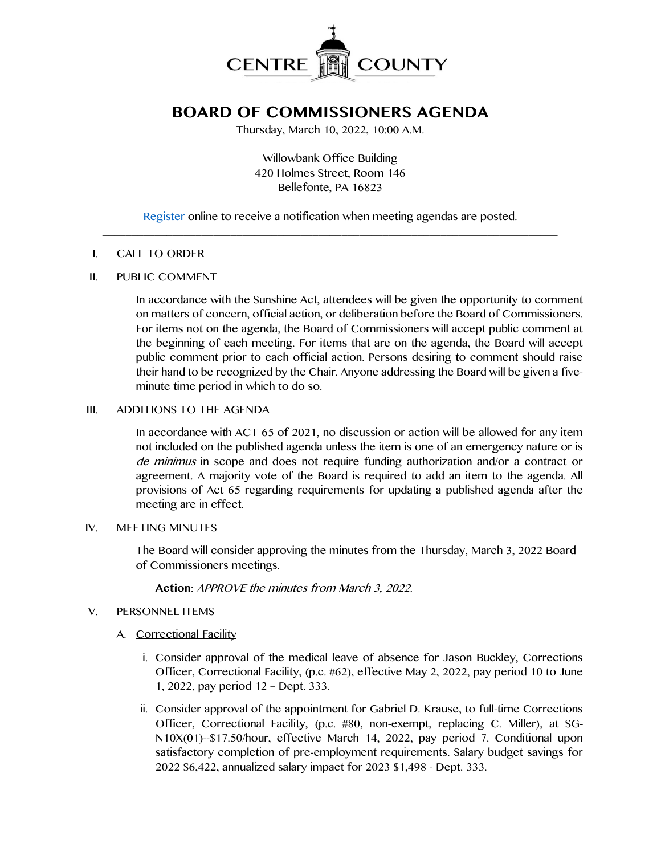

# **BOARD OF COMMISSIONERS AGENDA**

Thursday, March 10, 2022, 10:00 A.M.

Willowbank Office Building 420 Holmes Street, Room 146 Bellefonte, PA 16823

[Register](http://www.centrecountypa.gov/AgendaCenter) online to receive a notification when meeting agendas are posted.  $\mathcal{L} = \{ \mathcal{L} = \{ \mathcal{L} \mid \mathcal{L} = \{ \mathcal{L} \mid \mathcal{L} = \{ \mathcal{L} \mid \mathcal{L} = \{ \mathcal{L} \mid \mathcal{L} = \{ \mathcal{L} \mid \mathcal{L} = \{ \mathcal{L} \mid \mathcal{L} = \{ \mathcal{L} \mid \mathcal{L} = \{ \mathcal{L} \mid \mathcal{L} = \{ \mathcal{L} \mid \mathcal{L} = \{ \mathcal{L} \mid \mathcal{L} = \{ \mathcal{L} \mid \mathcal{L} = \{ \mathcal{L} \mid \mathcal{L} =$ 

#### I. CALL TO ORDER

#### II. PUBLIC COMMENT

In accordance with the Sunshine Act, attendees will be given the opportunity to comment on matters of concern, official action, or deliberation before the Board of Commissioners. For items not on the agenda, the Board of Commissioners will accept public comment at the beginning of each meeting. For items that are on the agenda, the Board will accept public comment prior to each official action. Persons desiring to comment should raise their hand to be recognized by the Chair. Anyone addressing the Board will be given a fiveminute time period in which to do so.

### III. ADDITIONS TO THE AGENDA

In accordance with ACT 65 of 2021, no discussion or action will be allowed for any item not included on the published agenda unless the item is one of an emergency nature or is de minimus in scope and does not require funding authorization and/or a contract or agreement. A majority vote of the Board is required to add an item to the agenda. All provisions of Act 65 regarding requirements for updating a published agenda after the meeting are in effect.

#### IV. MEETING MINUTES

The Board will consider approving the minutes from the Thursday, March 3, 2022 Board of Commissioners meetings.

**Action**: APPROVE the minutes from March 3, 2022.

# V. PERSONNEL ITEMS

# A. Correctional Facility

- i. Consider approval of the medical leave of absence for Jason Buckley, Corrections Officer, Correctional Facility, (p.c. #62), effective May 2, 2022, pay period 10 to June 1, 2022, pay period 12 – Dept. 333.
- ii. Consider approval of the appointment for Gabriel D. Krause, to full-time Corrections Officer, Correctional Facility, (p.c. #80, non-exempt, replacing C. Miller), at SG-N10X(01)--\$17.50/hour, effective March 14, 2022, pay period 7. Conditional upon satisfactory completion of pre-employment requirements. Salary budget savings for 2022 \$6,422, annualized salary impact for 2023 \$1,498 - Dept. 333.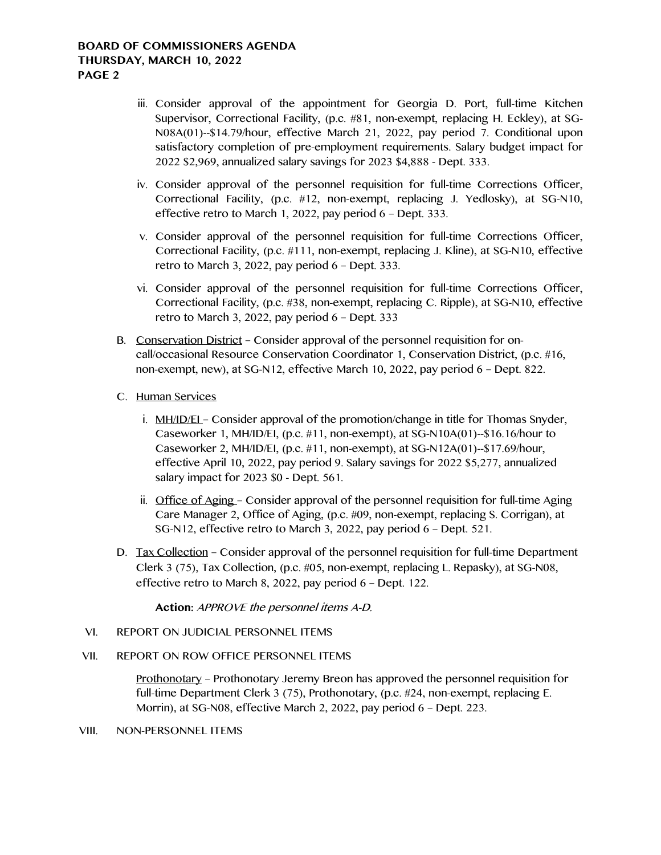## **BOARD OF COMMISSIONERS AGENDA THURSDAY, MARCH 10, 2022 PAGE 2**

- iii. Consider approval of the appointment for Georgia D. Port, full-time Kitchen Supervisor, Correctional Facility, (p.c. #81, non-exempt, replacing H. Eckley), at SG-N08A(01)--\$14.79/hour, effective March 21, 2022, pay period 7. Conditional upon satisfactory completion of pre-employment requirements. Salary budget impact for 2022 \$2,969, annualized salary savings for 2023 \$4,888 - Dept. 333.
- iv. Consider approval of the personnel requisition for full-time Corrections Officer, Correctional Facility, (p.c. #12, non-exempt, replacing J. Yedlosky), at SG-N10, effective retro to March 1, 2022, pay period 6 – Dept. 333.
- v. Consider approval of the personnel requisition for full-time Corrections Officer, Correctional Facility, (p.c. #111, non-exempt, replacing J. Kline), at SG-N10, effective retro to March 3, 2022, pay period 6 – Dept. 333.
- vi. Consider approval of the personnel requisition for full-time Corrections Officer, Correctional Facility, (p.c. #38, non-exempt, replacing C. Ripple), at SG-N10, effective retro to March 3, 2022, pay period 6 – Dept. 333
- B. Conservation District Consider approval of the personnel requisition for oncall/occasional Resource Conservation Coordinator 1, Conservation District, (p.c. #16, non-exempt, new), at SG-N12, effective March 10, 2022, pay period 6 – Dept. 822.
- C. Human Services
	- i. MH/ID/EL Consider approval of the promotion/change in title for Thomas Snyder, Caseworker 1, MH/ID/EI, (p.c. #11, non-exempt), at SG-N10A(01)--\$16.16/hour to Caseworker 2, MH/ID/EI, (p.c. #11, non-exempt), at SG-N12A(01)--\$17.69/hour, effective April 10, 2022, pay period 9. Salary savings for 2022 \$5,277, annualized salary impact for 2023 \$0 - Dept. 561.
	- ii. Office of Aging Consider approval of the personnel requisition for full-time Aging Care Manager 2, Office of Aging, (p.c. #09, non-exempt, replacing S. Corrigan), at SG-N12, effective retro to March 3, 2022, pay period 6 – Dept. 521.
- D. Tax Collection Consider approval of the personnel requisition for full-time Department Clerk 3 (75), Tax Collection, (p.c. #05, non-exempt, replacing L. Repasky), at SG-N08, effective retro to March 8, 2022, pay period 6 – Dept. 122.

**Action:** APPROVE the personnel items A-D.

- VI. REPORT ON JUDICIAL PERSONNEL ITEMS
- VII. REPORT ON ROW OFFICE PERSONNEL ITEMS

Prothonotary – Prothonotary Jeremy Breon has approved the personnel requisition for full-time Department Clerk 3 (75), Prothonotary, (p.c. #24, non-exempt, replacing E. Morrin), at SG-N08, effective March 2, 2022, pay period 6 – Dept. 223.

#### VIII. NON-PERSONNEL ITEMS